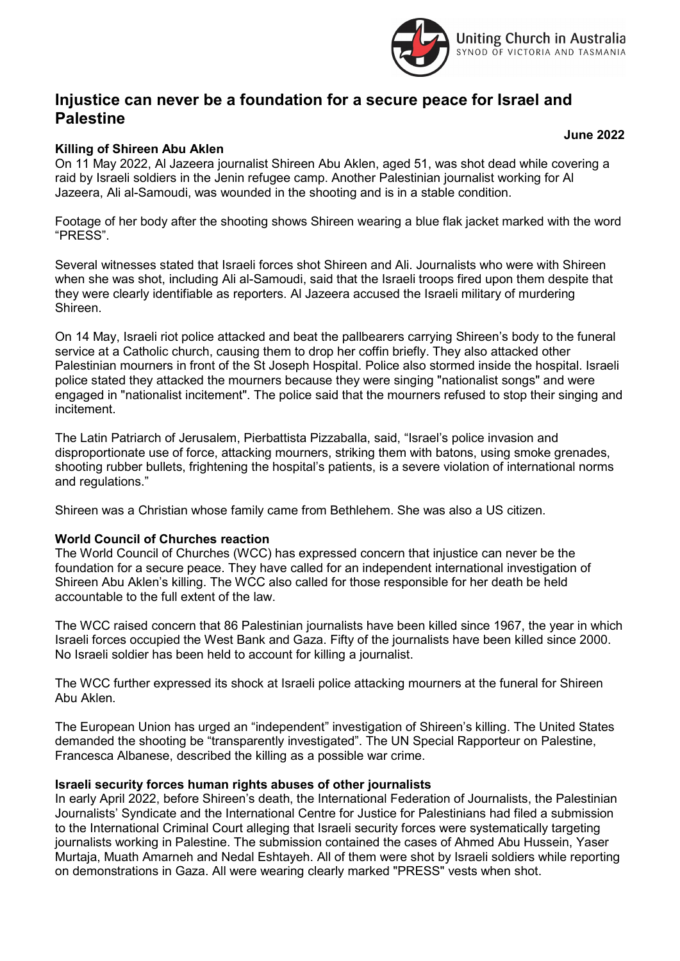

# Injustice can never be a foundation for a secure peace for Israel and **Palestine**

## Killing of Shireen Abu Aklen

On 11 May 2022, Al Jazeera journalist Shireen Abu Aklen, aged 51, was shot dead while covering a raid by Israeli soldiers in the Jenin refugee camp. Another Palestinian journalist working for Al Jazeera, Ali al-Samoudi, was wounded in the shooting and is in a stable condition.

Footage of her body after the shooting shows Shireen wearing a blue flak jacket marked with the word "PRESS".

Several witnesses stated that Israeli forces shot Shireen and Ali. Journalists who were with Shireen when she was shot, including Ali al-Samoudi, said that the Israeli troops fired upon them despite that they were clearly identifiable as reporters. Al Jazeera accused the Israeli military of murdering Shireen.

On 14 May, Israeli riot police attacked and beat the pallbearers carrying Shireen's body to the funeral service at a Catholic church, causing them to drop her coffin briefly. They also attacked other Palestinian mourners in front of the St Joseph Hospital. Police also stormed inside the hospital. Israeli police stated they attacked the mourners because they were singing "nationalist songs" and were engaged in "nationalist incitement". The police said that the mourners refused to stop their singing and incitement.

The Latin Patriarch of Jerusalem, Pierbattista Pizzaballa, said, "Israel's police invasion and disproportionate use of force, attacking mourners, striking them with batons, using smoke grenades, shooting rubber bullets, frightening the hospital's patients, is a severe violation of international norms and regulations."

Shireen was a Christian whose family came from Bethlehem. She was also a US citizen.

### World Council of Churches reaction

The World Council of Churches (WCC) has expressed concern that injustice can never be the foundation for a secure peace. They have called for an independent international investigation of Shireen Abu Aklen's killing. The WCC also called for those responsible for her death be held accountable to the full extent of the law.

The WCC raised concern that 86 Palestinian journalists have been killed since 1967, the year in which Israeli forces occupied the West Bank and Gaza. Fifty of the journalists have been killed since 2000. No Israeli soldier has been held to account for killing a journalist.

The WCC further expressed its shock at Israeli police attacking mourners at the funeral for Shireen Abu Aklen.

The European Union has urged an "independent" investigation of Shireen's killing. The United States demanded the shooting be "transparently investigated". The UN Special Rapporteur on Palestine, Francesca Albanese, described the killing as a possible war crime.

#### Israeli security forces human rights abuses of other journalists

In early April 2022, before Shireen's death, the International Federation of Journalists, the Palestinian Journalists' Syndicate and the International Centre for Justice for Palestinians had filed a submission to the International Criminal Court alleging that Israeli security forces were systematically targeting journalists working in Palestine. The submission contained the cases of Ahmed Abu Hussein, Yaser Murtaja, Muath Amarneh and Nedal Eshtayeh. All of them were shot by Israeli soldiers while reporting on demonstrations in Gaza. All were wearing clearly marked "PRESS" vests when shot.

June 2022